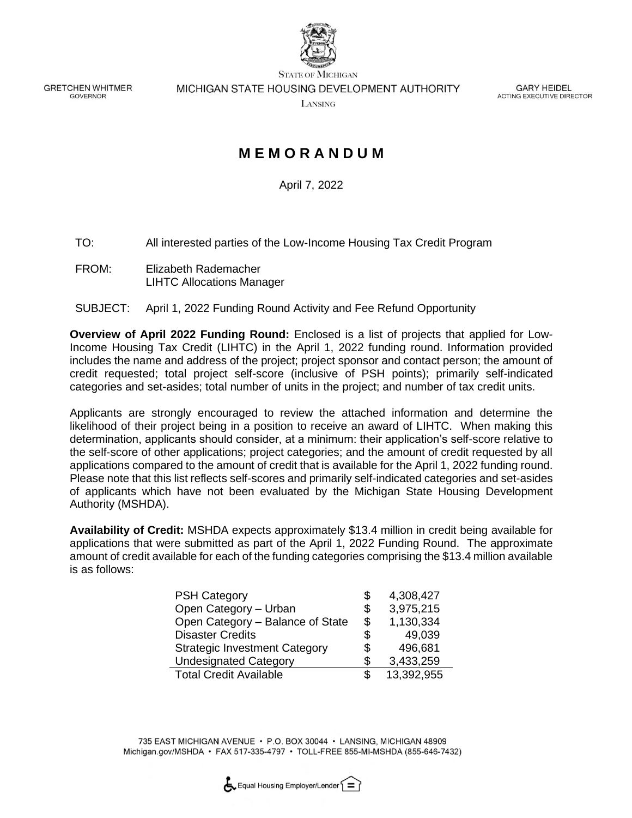

**GRETCHEN WHITMER** GOVERNOR

**STATE OF MICHIGAN** MICHIGAN STATE HOUSING DEVELOPMENT AUTHORITY

LANSING

**GARY HEIDEL** ACTING EXECUTIVE DIRECTOR

# **M E M O R A N D U M**

April 7, 2022

TO: All interested parties of the Low-Income Housing Tax Credit Program

FROM: Elizabeth Rademacher LIHTC Allocations Manager

#### SUBJECT: April 1, 2022 Funding Round Activity and Fee Refund Opportunity

**Overview of April 2022 Funding Round:** Enclosed is a list of projects that applied for Low-Income Housing Tax Credit (LIHTC) in the April 1, 2022 funding round. Information provided includes the name and address of the project; project sponsor and contact person; the amount of credit requested; total project self-score (inclusive of PSH points); primarily self-indicated categories and set-asides; total number of units in the project; and number of tax credit units.

Applicants are strongly encouraged to review the attached information and determine the likelihood of their project being in a position to receive an award of LIHTC. When making this determination, applicants should consider, at a minimum: their application's self-score relative to the self-score of other applications; project categories; and the amount of credit requested by all applications compared to the amount of credit that is available for the April 1, 2022 funding round. Please note that this list reflects self-scores and primarily self-indicated categories and set-asides of applicants which have not been evaluated by the Michigan State Housing Development Authority (MSHDA).

**Availability of Credit:** MSHDA expects approximately \$13.4 million in credit being available for applications that were submitted as part of the April 1, 2022 Funding Round. The approximate amount of credit available for each of the funding categories comprising the \$13.4 million available is as follows:

| <b>PSH Category</b>                  | \$  | 4,308,427  |
|--------------------------------------|-----|------------|
| Open Category - Urban                | \$  | 3,975,215  |
| Open Category - Balance of State     | \$  | 1,130,334  |
| <b>Disaster Credits</b>              | \$  | 49,039     |
| <b>Strategic Investment Category</b> | \$  | 496,681    |
| <b>Undesignated Category</b>         | \$  | 3,433,259  |
| <b>Total Credit Available</b>        | \$. | 13,392,955 |

735 EAST MICHIGAN AVENUE · P.O. BOX 30044 · LANSING, MICHIGAN 48909 Michigan.gov/MSHDA • FAX 517-335-4797 • TOLL-FREE 855-MI-MSHDA (855-646-7432)

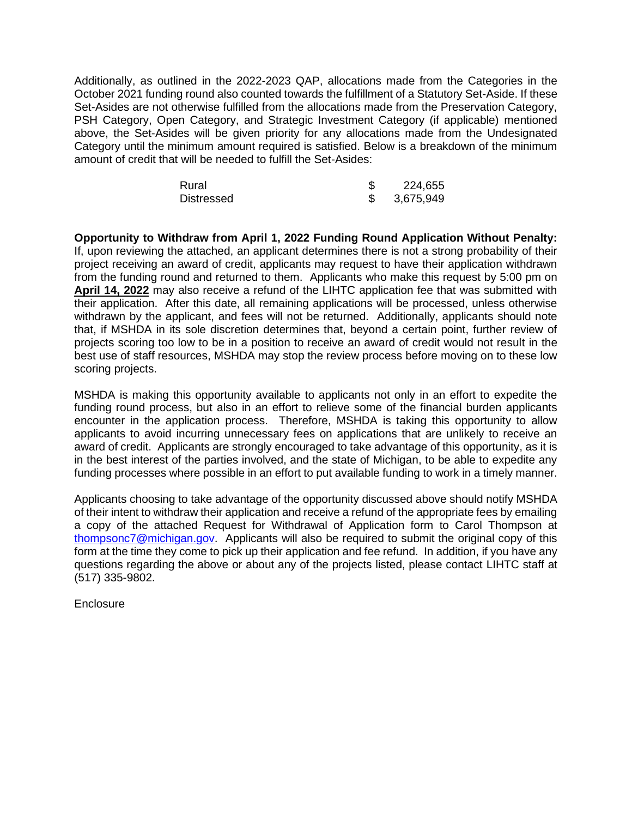Additionally, as outlined in the 2022-2023 QAP, allocations made from the Categories in the October 2021 funding round also counted towards the fulfillment of a Statutory Set-Aside. If these Set-Asides are not otherwise fulfilled from the allocations made from the Preservation Category, PSH Category, Open Category, and Strategic Investment Category (if applicable) mentioned above, the Set-Asides will be given priority for any allocations made from the Undesignated Category until the minimum amount required is satisfied. Below is a breakdown of the minimum amount of credit that will be needed to fulfill the Set-Asides:

| Rural             | 224,655   |
|-------------------|-----------|
| <b>Distressed</b> | 3,675,949 |

**Opportunity to Withdraw from April 1, 2022 Funding Round Application Without Penalty:**  If, upon reviewing the attached, an applicant determines there is not a strong probability of their project receiving an award of credit, applicants may request to have their application withdrawn from the funding round and returned to them. Applicants who make this request by 5:00 pm on **April 14, 2022** may also receive a refund of the LIHTC application fee that was submitted with their application. After this date, all remaining applications will be processed, unless otherwise withdrawn by the applicant, and fees will not be returned. Additionally, applicants should note that, if MSHDA in its sole discretion determines that, beyond a certain point, further review of projects scoring too low to be in a position to receive an award of credit would not result in the best use of staff resources, MSHDA may stop the review process before moving on to these low scoring projects.

MSHDA is making this opportunity available to applicants not only in an effort to expedite the funding round process, but also in an effort to relieve some of the financial burden applicants encounter in the application process. Therefore, MSHDA is taking this opportunity to allow applicants to avoid incurring unnecessary fees on applications that are unlikely to receive an award of credit. Applicants are strongly encouraged to take advantage of this opportunity, as it is in the best interest of the parties involved, and the state of Michigan, to be able to expedite any funding processes where possible in an effort to put available funding to work in a timely manner.

Applicants choosing to take advantage of the opportunity discussed above should notify MSHDA of their intent to withdraw their application and receive a refund of the appropriate fees by emailing a copy of the attached Request for Withdrawal of Application form to Carol Thompson at [thompsonc7@michigan.gov.](mailto:thompsonc7@michigan.gov) Applicants will also be required to submit the original copy of this form at the time they come to pick up their application and fee refund. In addition, if you have any questions regarding the above or about any of the projects listed, please contact LIHTC staff at (517) 335-9802.

**Enclosure**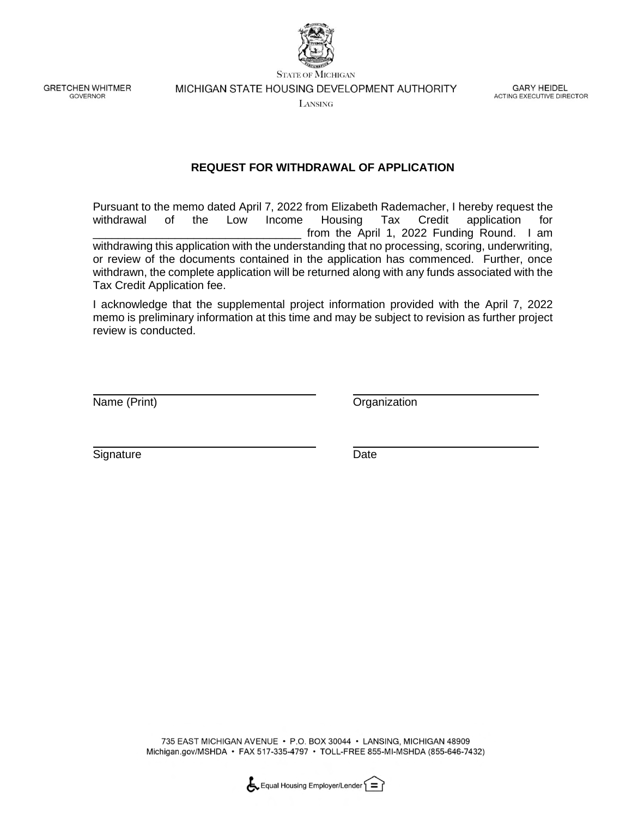

**GRETCHEN WHITMER GOVERNOR** 

**STATE OF MICHIGAN** MICHIGAN STATE HOUSING DEVELOPMENT AUTHORITY

**GARY HEIDEL** ACTING EXECUTIVE DIRECTOR

LANSING

#### **REQUEST FOR WITHDRAWAL OF APPLICATION**

Pursuant to the memo dated April 7, 2022 from Elizabeth Rademacher, I hereby request the withdrawal of the Low Income Housing Tax Credit application for from the April 1, 2022 Funding Round. I am withdrawing this application with the understanding that no processing, scoring, underwriting, or review of the documents contained in the application has commenced. Further, once withdrawn, the complete application will be returned along with any funds associated with the Tax Credit Application fee.

I acknowledge that the supplemental project information provided with the April 7, 2022 memo is preliminary information at this time and may be subject to revision as further project review is conducted.

Name (Print) **Name** (Print)

Signature Date

735 EAST MICHIGAN AVENUE · P.O. BOX 30044 · LANSING, MICHIGAN 48909 Michigan.gov/MSHDA • FAX 517-335-4797 • TOLL-FREE 855-MI-MSHDA (855-646-7432)

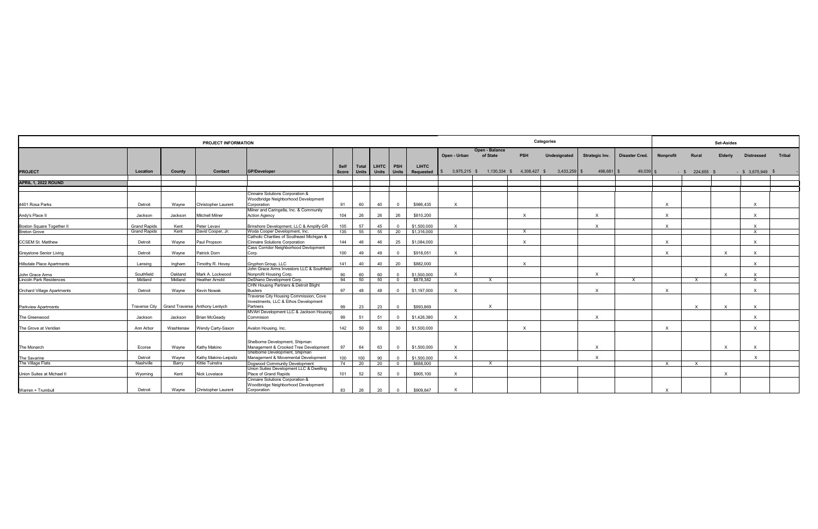| PROJECT INFORMATION                               |                       |                    |                                                    |                                                                                                   | Categories    |                       |                               |              | <b>Set-Asides</b>         |              |                            |                           |              |                           |                |                           |                           |              |                              |        |
|---------------------------------------------------|-----------------------|--------------------|----------------------------------------------------|---------------------------------------------------------------------------------------------------|---------------|-----------------------|-------------------------------|--------------|---------------------------|--------------|----------------------------|---------------------------|--------------|---------------------------|----------------|---------------------------|---------------------------|--------------|------------------------------|--------|
|                                                   |                       |                    |                                                    |                                                                                                   |               |                       |                               |              |                           | Open - Urban | Open - Balance<br>of State | <b>PSH</b>                | Undesignated | Strategic Inv.            | Disaster Cred. | <b>Nonprofit</b>          | Rural                     | Elderly      | <b>Distressed</b>            | Tribal |
| <b>PROJECT</b>                                    | Location              | County             | Contact                                            | <b>GP/Developer</b>                                                                               | Self<br>Score | Total<br><b>Units</b> | I LIHTC I PSH<br><b>Units</b> | <b>Units</b> | <b>LIHTC</b><br>Requested | 3,975,215 \$ | 1,130,334 \$               | 4,308,427 \$              | 3,433,259    | 496,681 \$                | $49,039$ \$    |                           | 224,655 \$<br>$-$ \$      |              | $-$ \$ 3,675,949             |        |
| APRIL 1, 2022 ROUND                               |                       |                    |                                                    |                                                                                                   |               |                       |                               |              |                           |              |                            |                           |              |                           |                |                           |                           |              |                              |        |
|                                                   |                       |                    |                                                    | Cinnaire Solutions Corporation &<br>Woodbridge Neighborhood Development                           |               |                       |                               |              |                           |              |                            |                           |              |                           |                |                           |                           |              |                              |        |
| 4401 Rosa Parks                                   | Detroit<br>Jackson    | Wayne<br>Jackson   | <b>Christopher Laurent</b><br>Aitchell Milner      | Corporation<br>Milner and Caringella, Inc. & Community<br><b>Action Agency</b>                    | 91<br>104     | 60<br>26              | 40<br>26                      | . വ<br>26    | \$986,435<br>\$810,200    | X            |                            | $\boldsymbol{\mathsf{x}}$ |              | $\mathsf{x}$              |                | $\times$<br>$\mathsf{X}$  |                           |              | $\mathbf{x}$<br>$\mathsf{x}$ |        |
| Andy's Place II<br>Boston Square Together II      | <b>Grand Rapids</b>   | Kent               | Peter Levavi                                       | Brinshore Development, LLC & Amplify GR                                                           | 105           | 57                    | 45                            |              | \$1,500,000               | X            |                            |                           |              | $\mathsf{x}$              |                | $\times$                  |                           |              | $\mathsf{x}$                 |        |
| <b>Breton Grove</b>                               | <b>Grand Rapids</b>   | Kent               | David Cooper, Jr                                   | Woda Cooper Development, Inc.<br>Catholic Charities of Southeast Michigan &                       | 135           | 55                    | 55                            | 20           | \$1,316,000               |              |                            | $\mathsf{X}$              |              |                           |                |                           |                           |              | $\mathsf{x}$                 |        |
| <b>CCSEM St. Matthew</b>                          | Detroit               | Wayne              | Paul Propson                                       | <b>Cinnaire Solutions Corporation</b><br>Cass Corridor Neighborhood Devlopment                    | 144           | 46                    | 46                            | 25           | \$1.084.000               |              |                            | $\times$                  |              |                           |                | $\times$                  |                           |              | $\mathsf{x}$                 |        |
| <b>Greystone Senior Living</b>                    | Detroit               | Wayne              | Patrick Dorn                                       | Corp.                                                                                             | 100           | 49                    | 49                            |              | \$918,051                 | $\times$     |                            |                           |              |                           |                | $\times$                  |                           |              |                              |        |
| <b>Hillsdale Place Apartments</b>                 | Lansing               | Ingham             | Timothy R. Hovey                                   | Gryphon Group, LLC<br>John Grace Arms Investors LLC & Southfield                                  | 141           | 40                    | 40                            | 20           | \$882,000                 |              |                            | $\boldsymbol{\mathsf{X}}$ |              |                           |                |                           |                           |              | $\mathsf{x}$                 |        |
| John Grace Arms<br><b>Lincoln Park Residences</b> | Southfield<br>Midland | Oakland<br>Midland | Mark A. Lockwood<br><b>Heather Arnold</b>          | Nonprofit Housing Corp.<br>DeShano Development Corp.                                              | 90<br>94      | 60<br>50              | 60<br>50                      |              | \$1,500,000<br>\$878,382  | $\times$     | X                          |                           |              | $\mathsf{x}$              | $\mathsf{x}$   |                           | $\mathsf{X}$              | $\times$     | $\mathsf{x}$                 |        |
| <b>Orchard Village Apartments</b>                 | Detroit               | Wayne              | <b>Kevin Nowak</b>                                 | CHN Housing Partners & Detroit Blight<br><b>Busters</b>                                           | 97            | 48                    | 48                            | $\Omega$     | \$1,197,000               | $\times$     |                            |                           |              | $\mathsf{x}$              |                | $\times$                  |                           |              | $\mathsf{x}$                 |        |
| <b>Parkview Apartments</b>                        | <b>Traverse City</b>  |                    | Grand Traverse Anthony Lentych                     | Traverse City Housing Commission, Cove<br>Investments, LLC & Ethos Development<br>Partners        | 99            | 23                    | 23                            |              | \$993.869                 |              | $\boldsymbol{\mathsf{x}}$  |                           |              |                           |                |                           | $\mathsf{X}$              |              | $\mathsf{x}$                 |        |
| The Greenwood                                     | Jackson               | Jackson            | <b>Brian McGeady</b>                               | MVAH Development LLC & Jackson Housing<br>Commision                                               | 99            | 51                    | 51                            |              | \$1,426,380               | $\times$     |                            |                           |              | $\times$                  |                |                           |                           |              | $\mathbf{x}$                 |        |
| The Grove at Veridian                             | Ann Arbor             | Washtenaw          | Wendy Carty-Saxon                                  | Avalon Housing, Inc.                                                                              | 142           | 50                    | 50                            | 30           | \$1,500,000               |              |                            | $\mathsf{x}$              |              |                           |                | $\times$                  |                           |              | $\times$                     |        |
| The Monarch                                       | Ecorse                | Wayne              | Kathy Makino                                       | Shelborne Development, Shipman<br>Management & Crooked Tree Development                           | 97            | 64                    | 63                            | $\Omega$     | \$1,500,000               | $\times$     |                            |                           |              | $\mathsf{x}$              |                |                           |                           | $\mathsf{x}$ | $\mathsf{x}$                 |        |
| The Savarine                                      | Detroit               | Wayne              | Kathy Makino-Leipsitz                              | Shelborne Development, Shipman<br>Management & Movemental Development                             | 100           | 100                   | 90                            |              | \$1,500,000               |              |                            |                           |              | $\boldsymbol{\mathsf{x}}$ |                |                           |                           |              | $\mathbf{x}$                 |        |
| The Village Flats                                 | Nashville             | Barry              | Kittie Tuinstra                                    | Dogwood Community Development<br>Union Suites Development LLC & Dwelling<br>Place of Grand Rapids | 74            | 20                    | 20                            |              | \$688,000                 | $\times$     | x                          |                           |              |                           |                | $\mathsf{X}$              | $\boldsymbol{\mathsf{x}}$ |              |                              |        |
| Union Suites at Michael II<br>Warren + Trumbull   | Wyoming<br>Detroit    | Kent<br>Wayne      | <b>Nick Lovelace</b><br><b>Christopher Laurent</b> | Cinnaire Solutions Corporation &<br>Woodbridge Neighborhood Development<br>Corporation            | 101<br>83     | 52<br>26              | 52<br>20                      |              | \$905,100<br>\$909,847    |              |                            |                           |              |                           |                | $\boldsymbol{\mathsf{x}}$ |                           | $\mathsf{x}$ |                              |        |
|                                                   |                       |                    |                                                    |                                                                                                   |               |                       |                               |              |                           |              |                            |                           |              |                           |                |                           |                           |              |                              |        |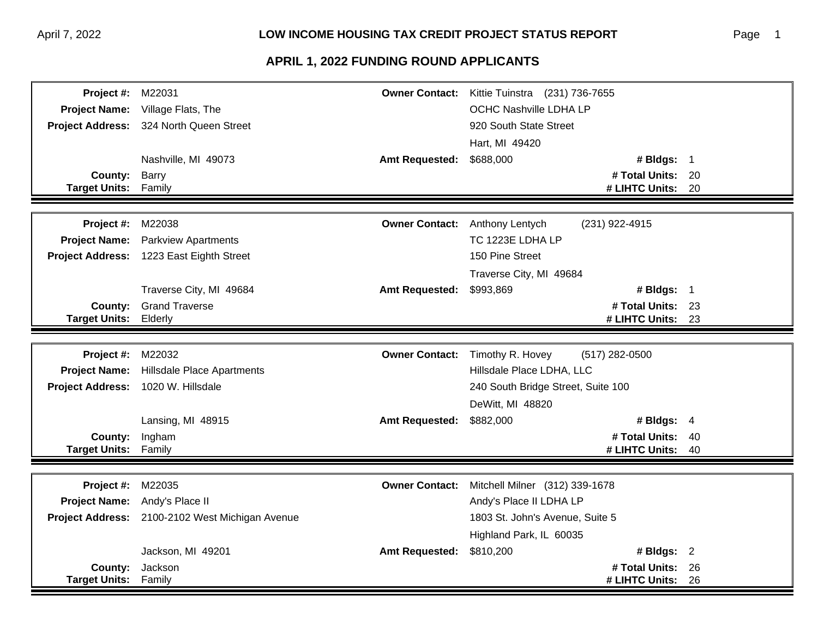| Project #:                    | M22031                                          | <b>Owner Contact:</b> | Kittie Tuinstra (231) 736-7655     |                   |      |
|-------------------------------|-------------------------------------------------|-----------------------|------------------------------------|-------------------|------|
| <b>Project Name:</b>          | Village Flats, The                              |                       | OCHC Nashville LDHA LP             |                   |      |
|                               | Project Address: 324 North Queen Street         |                       | 920 South State Street             |                   |      |
|                               |                                                 |                       | Hart, MI 49420                     |                   |      |
|                               | Nashville, MI 49073                             | <b>Amt Requested:</b> | \$688,000                          | # Bldgs: 1        |      |
| <b>County:</b>                | Barry                                           |                       |                                    | # Total Units: 20 |      |
| <b>Target Units: Family</b>   |                                                 |                       |                                    | # LIHTC Units:    | 20   |
|                               |                                                 |                       |                                    |                   |      |
| Project #:                    | M22038                                          |                       | Owner Contact: Anthony Lentych     | (231) 922-4915    |      |
| <b>Project Name:</b>          | <b>Parkview Apartments</b>                      |                       | TC 1223E LDHA LP                   |                   |      |
|                               | Project Address: 1223 East Eighth Street        |                       | 150 Pine Street                    |                   |      |
|                               |                                                 |                       | Traverse City, MI 49684            |                   |      |
|                               | Traverse City, MI 49684                         | <b>Amt Requested:</b> | \$993,869                          | # Bldgs: $1$      |      |
| County:                       | <b>Grand Traverse</b>                           |                       |                                    | # Total Units: 23 |      |
| <b>Target Units:</b>          | Elderly                                         |                       |                                    | # LIHTC Units:    | 23   |
|                               |                                                 |                       |                                    |                   |      |
| Project #:                    | M22032                                          | <b>Owner Contact:</b> | Timothy R. Hovey                   | (517) 282-0500    |      |
| <b>Project Name:</b>          | <b>Hillsdale Place Apartments</b>               |                       | Hillsdale Place LDHA, LLC          |                   |      |
| <b>Project Address:</b>       | 1020 W. Hillsdale                               |                       | 240 South Bridge Street, Suite 100 |                   |      |
|                               |                                                 |                       | DeWitt, MI 48820                   |                   |      |
|                               | Lansing, MI 48915                               | <b>Amt Requested:</b> | \$882,000                          | # Bldgs: $4$      |      |
| County:                       | Ingham                                          |                       |                                    | # Total Units: 40 |      |
| <b>Target Units:</b>          | Family                                          |                       |                                    | # LIHTC Units:    | 40   |
|                               |                                                 |                       |                                    |                   |      |
| Project #:                    | M22035                                          | <b>Owner Contact:</b> | Mitchell Milner (312) 339-1678     |                   |      |
| Project Name: Andy's Place II |                                                 |                       | Andy's Place II LDHA LP            |                   |      |
|                               | Project Address: 2100-2102 West Michigan Avenue |                       | 1803 St. John's Avenue, Suite 5    |                   |      |
|                               |                                                 |                       | Highland Park, IL 60035            |                   |      |
|                               | Jackson, MI 49201                               | <b>Amt Requested:</b> | \$810,200                          | # Bldgs: $2$      |      |
| County:                       | Jackson                                         |                       |                                    | # Total Units: 26 |      |
| <b>Target Units:</b>          | Family                                          |                       |                                    | # LIHTC Units:    | - 26 |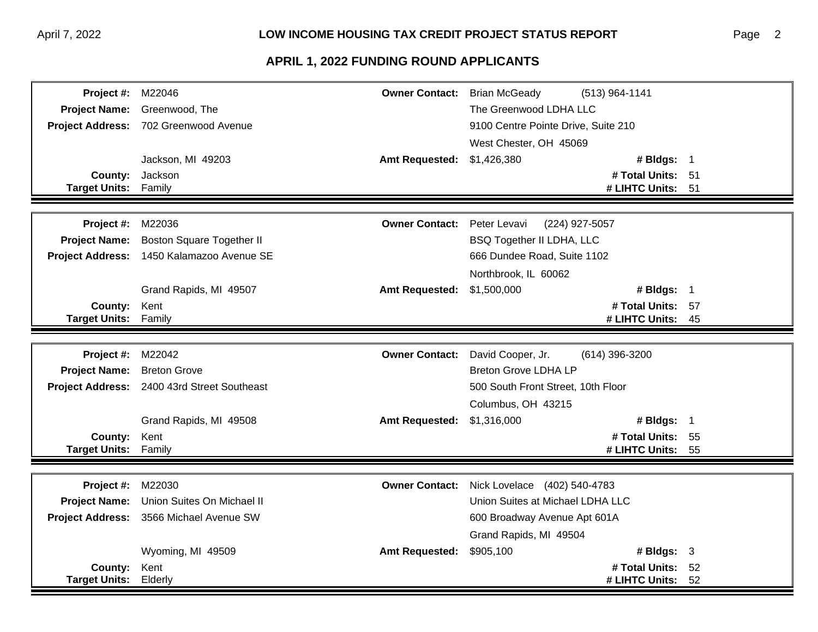#### Page 2

| <b>Project #: M22046</b> |                                             | <b>Owner Contact:</b> Brian McGeady | (513) 964-1141                      |    |
|--------------------------|---------------------------------------------|-------------------------------------|-------------------------------------|----|
|                          | Project Name: Greenwood, The                |                                     | The Greenwood LDHA LLC              |    |
|                          | Project Address: 702 Greenwood Avenue       |                                     | 9100 Centre Pointe Drive, Suite 210 |    |
|                          |                                             |                                     | West Chester, OH 45069              |    |
|                          | Jackson, MI 49203                           | <b>Amt Requested:</b>               | \$1,426,380<br># Bldgs: 1           |    |
| County:                  | Jackson                                     |                                     | # Total Units: 51                   |    |
| <b>Target Units:</b>     | Family                                      |                                     | # LIHTC Units: 51                   |    |
|                          |                                             |                                     |                                     |    |
| Project #:               | M22036                                      | <b>Owner Contact:</b>               | Peter Levavi<br>(224) 927-5057      |    |
| <b>Project Name:</b>     | <b>Boston Square Together II</b>            |                                     | <b>BSQ Together II LDHA, LLC</b>    |    |
| <b>Project Address:</b>  | 1450 Kalamazoo Avenue SE                    |                                     | 666 Dundee Road, Suite 1102         |    |
|                          |                                             |                                     | Northbrook, IL 60062                |    |
|                          | Grand Rapids, MI 49507                      | <b>Amt Requested:</b>               | \$1,500,000<br># Bldgs: 1           |    |
| County:                  | Kent                                        |                                     | # Total Units: 57                   |    |
| <b>Target Units:</b>     | Family                                      |                                     | # LIHTC Units:                      | 45 |
|                          |                                             |                                     |                                     |    |
| Project #:               | M22042                                      | <b>Owner Contact:</b>               | David Cooper, Jr.<br>(614) 396-3200 |    |
| <b>Project Name:</b>     | <b>Breton Grove</b>                         |                                     | <b>Breton Grove LDHA LP</b>         |    |
|                          | Project Address: 2400 43rd Street Southeast |                                     | 500 South Front Street, 10th Floor  |    |
|                          |                                             |                                     | Columbus, OH 43215                  |    |
|                          | Grand Rapids, MI 49508                      | <b>Amt Requested:</b>               | \$1,316,000<br># Bldgs: 1           |    |
| County:                  | Kent                                        |                                     | # Total Units: 55                   |    |
| <b>Target Units:</b>     | Family                                      |                                     | # LIHTC Units:                      | 55 |
|                          |                                             |                                     |                                     |    |
| Project #:               | M22030                                      | <b>Owner Contact:</b>               | Nick Lovelace (402) 540-4783        |    |
| <b>Project Name:</b>     | Union Suites On Michael II                  |                                     | Union Suites at Michael LDHA LLC    |    |
| <b>Project Address:</b>  | 3566 Michael Avenue SW                      |                                     | 600 Broadway Avenue Apt 601A        |    |
|                          |                                             |                                     | Grand Rapids, MI 49504              |    |
|                          | Wyoming, MI 49509                           | <b>Amt Requested:</b>               | \$905,100<br># Bldgs: $3$           |    |
| County:                  | Kent                                        |                                     | # Total Units: 52                   |    |
| <b>Target Units:</b>     | Elderly                                     |                                     | # LIHTC Units:                      | 52 |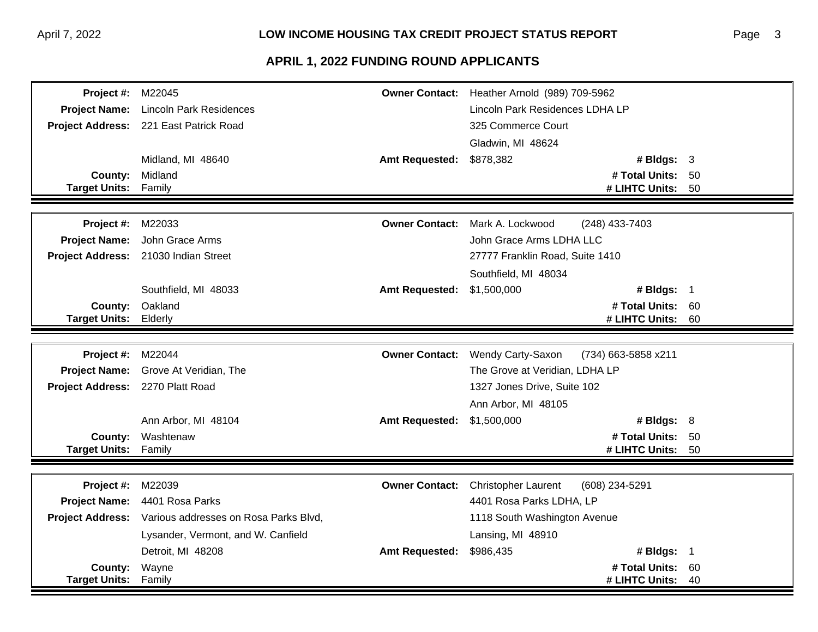| <b>Project #: M22045</b>         |                                                        | <b>Owner Contact:</b> | Heather Arnold (989) 709-5962                   |     |  |  |
|----------------------------------|--------------------------------------------------------|-----------------------|-------------------------------------------------|-----|--|--|
|                                  | Project Name: Lincoln Park Residences                  |                       | Lincoln Park Residences LDHA LP                 |     |  |  |
|                                  | Project Address: 221 East Patrick Road                 |                       | 325 Commerce Court                              |     |  |  |
|                                  |                                                        |                       | Gladwin, MI 48624                               |     |  |  |
|                                  | Midland, MI 48640                                      | <b>Amt Requested:</b> | \$878,382<br># Bldgs: $3$                       |     |  |  |
| County:                          | Midland                                                |                       | # Total Units: 50                               |     |  |  |
| Target Units: Family             |                                                        |                       | # LIHTC Units: 50                               |     |  |  |
|                                  |                                                        |                       |                                                 |     |  |  |
| Project #:                       | M22033                                                 | <b>Owner Contact:</b> | Mark A. Lockwood<br>(248) 433-7403              |     |  |  |
|                                  | Project Name: John Grace Arms                          |                       | John Grace Arms LDHA LLC                        |     |  |  |
|                                  | Project Address: 21030 Indian Street                   |                       | 27777 Franklin Road, Suite 1410                 |     |  |  |
|                                  |                                                        |                       | Southfield, MI 48034                            |     |  |  |
|                                  | Southfield, MI 48033                                   | <b>Amt Requested:</b> | \$1,500,000<br># Bldgs: 1                       |     |  |  |
|                                  | County: Oakland                                        |                       | # Total Units: 60                               |     |  |  |
| <b>Target Units:</b>             | Elderly                                                |                       | # LIHTC Units:                                  | 60  |  |  |
|                                  |                                                        |                       |                                                 |     |  |  |
| <b>Project #: M22044</b>         |                                                        | <b>Owner Contact:</b> | <b>Wendy Carty-Saxon</b><br>(734) 663-5858 x211 |     |  |  |
| <b>Project Name:</b>             | Grove At Veridian, The                                 |                       | The Grove at Veridian, LDHA LP                  |     |  |  |
| Project Address: 2270 Platt Road |                                                        |                       | 1327 Jones Drive, Suite 102                     |     |  |  |
|                                  |                                                        |                       | Ann Arbor, MI 48105                             |     |  |  |
|                                  | Ann Arbor, MI 48104                                    | <b>Amt Requested:</b> | \$1,500,000<br># Bldgs: $8$                     |     |  |  |
| County:                          | Washtenaw                                              |                       | # Total Units: 50                               |     |  |  |
| <b>Target Units:</b>             | Family                                                 |                       | # LIHTC Units:                                  | 50  |  |  |
|                                  |                                                        |                       |                                                 |     |  |  |
| Project #:                       | M22039                                                 | <b>Owner Contact:</b> | <b>Christopher Laurent</b><br>(608) 234-5291    |     |  |  |
|                                  | Project Name: 4401 Rosa Parks                          |                       | 4401 Rosa Parks LDHA, LP                        |     |  |  |
|                                  | Project Address: Various addresses on Rosa Parks Blvd, |                       | 1118 South Washington Avenue                    |     |  |  |
|                                  | Lysander, Vermont, and W. Canfield                     |                       | Lansing, MI 48910                               |     |  |  |
|                                  | Detroit, MI 48208                                      | <b>Amt Requested:</b> | \$986,435<br># Bldgs: 1                         |     |  |  |
| County:                          | Wayne                                                  |                       | # Total Units:                                  | -60 |  |  |
| <b>Target Units:</b>             | Family                                                 |                       | # LIHTC Units:                                  | 40  |  |  |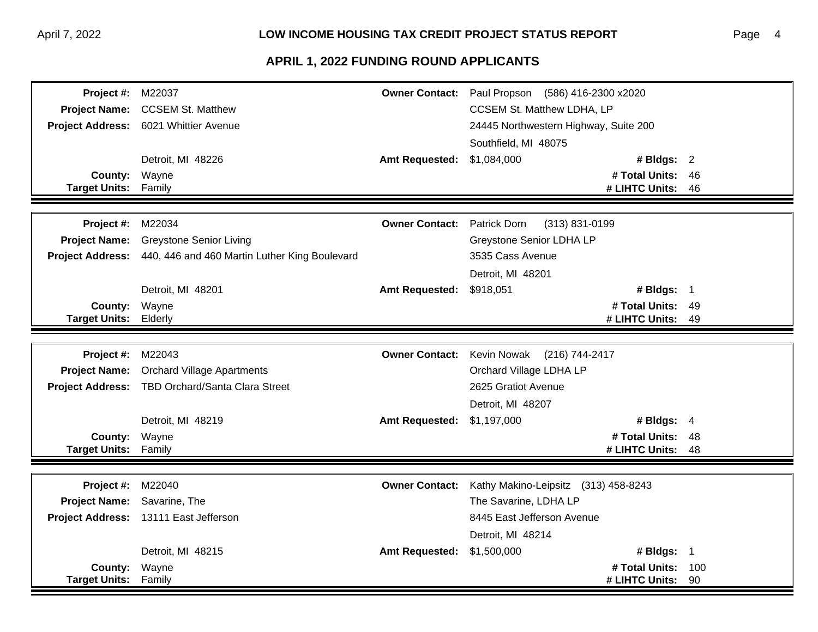|                                 | <b>Project #: M22037</b>                        |                            | Owner Contact: Paul Propson (586) 416-2300 x2020 |                                  |           |  |
|---------------------------------|-------------------------------------------------|----------------------------|--------------------------------------------------|----------------------------------|-----------|--|
| <b>Project Name:</b>            | <b>CCSEM St. Matthew</b>                        |                            | <b>CCSEM St. Matthew LDHA, LP</b>                |                                  |           |  |
|                                 | Project Address: 6021 Whittier Avenue           |                            | 24445 Northwestern Highway, Suite 200            |                                  |           |  |
|                                 |                                                 |                            | Southfield, MI 48075                             |                                  |           |  |
|                                 | Detroit, MI 48226                               | <b>Amt Requested:</b>      | \$1,084,000                                      | # Bldgs: $2$                     |           |  |
| <b>County:</b>                  | Wayne                                           |                            |                                                  | # Total Units: 46                |           |  |
| <b>Target Units:</b>            | Family                                          |                            |                                                  | # LIHTC Units:                   | 46        |  |
|                                 |                                                 |                            |                                                  |                                  |           |  |
| Project #:                      | M22034                                          | <b>Owner Contact:</b>      | Patrick Dorn<br>(313) 831-0199                   |                                  |           |  |
| <b>Project Name:</b>            | <b>Greystone Senior Living</b>                  |                            | Greystone Senior LDHA LP                         |                                  |           |  |
| <b>Project Address:</b>         | 440, 446 and 460 Martin Luther King Boulevard   |                            | 3535 Cass Avenue                                 |                                  |           |  |
|                                 |                                                 |                            | Detroit, MI 48201                                |                                  |           |  |
|                                 | Detroit, MI 48201                               | <b>Amt Requested:</b>      | \$918,051                                        | # Bldgs: $1$                     |           |  |
| County:                         | Wayne                                           |                            |                                                  | # Total Units: 49                |           |  |
| <b>Target Units:</b>            | Elderly                                         |                            |                                                  | # LIHTC Units:                   | 49        |  |
|                                 |                                                 |                            |                                                  |                                  |           |  |
| Project #:                      | M22043                                          | <b>Owner Contact:</b>      | Kevin Nowak<br>(216) 744-2417                    |                                  |           |  |
|                                 |                                                 |                            |                                                  |                                  |           |  |
| <b>Project Name:</b>            | <b>Orchard Village Apartments</b>               |                            | Orchard Village LDHA LP                          |                                  |           |  |
|                                 | Project Address: TBD Orchard/Santa Clara Street |                            | 2625 Gratiot Avenue                              |                                  |           |  |
|                                 |                                                 |                            | Detroit, MI 48207                                |                                  |           |  |
|                                 | Detroit, MI 48219                               | Amt Requested: \$1,197,000 |                                                  | # Bldgs: $4$                     |           |  |
| County:                         | Wayne                                           |                            |                                                  | # Total Units: 48                |           |  |
| <b>Target Units:</b>            | Family                                          |                            |                                                  | # LIHTC Units:                   | 48        |  |
|                                 |                                                 |                            |                                                  |                                  |           |  |
| Project #:                      | M22040                                          | <b>Owner Contact:</b>      | Kathy Makino-Leipsitz (313) 458-8243             |                                  |           |  |
| <b>Project Name:</b>            | Savarine, The                                   |                            | The Savarine, LDHA LP                            |                                  |           |  |
|                                 | Project Address: 13111 East Jefferson           |                            | 8445 East Jefferson Avenue                       |                                  |           |  |
|                                 |                                                 |                            | Detroit, MI 48214                                |                                  |           |  |
|                                 | Detroit, MI 48215                               | <b>Amt Requested:</b>      | \$1,500,000                                      | # Bldgs: 1                       |           |  |
| County:<br><b>Target Units:</b> | Wayne<br>Family                                 |                            |                                                  | # Total Units:<br># LIHTC Units: | 100<br>90 |  |